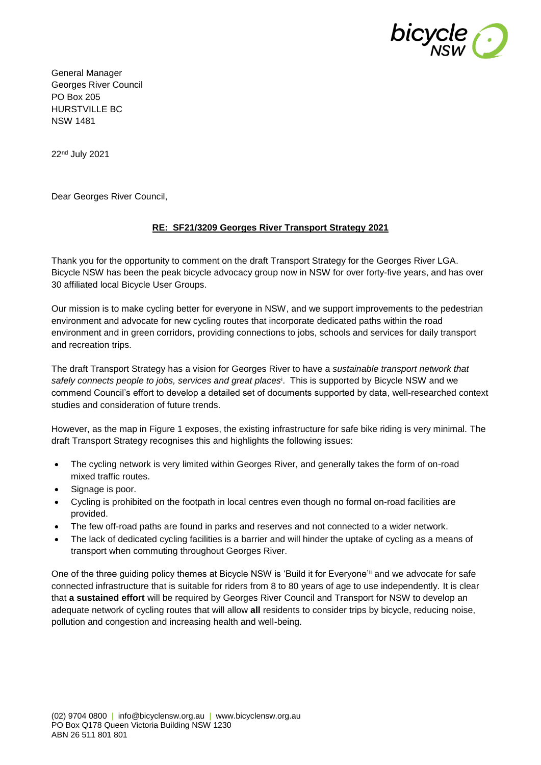

General Manager Georges River Council PO Box 205 HURSTVILLE BC NSW 1481

22nd July 2021

Dear Georges River Council,

#### **RE: SF21/3209 [Georges River Transport](https://yoursay.woollahra.nsw.gov.au/54579/widgets/283767/documents/204092) Strategy 2021**

Thank you for the opportunity to comment on the draft Transport Strategy for the Georges River LGA. Bicycle NSW has been the peak bicycle advocacy group now in NSW for over forty-five years, and has over 30 affiliated local Bicycle User Groups.

Our mission is to make cycling better for everyone in NSW, and we support improvements to the pedestrian environment and advocate for new cycling routes that incorporate dedicated paths within the road environment and in green corridors, providing connections to jobs, schools and services for daily transport and recreation trips.

The draft Transport Strategy has a vision for Georges River to have a *sustainable transport network that safely connects people to jobs, services and great places*<sup>i</sup> . This is supported by Bicycle NSW and we commend Council's effort to develop a detailed set of documents supported by data, well-researched context studies and consideration of future trends.

However, as the map in Figure 1 exposes, the existing infrastructure for safe bike riding is very minimal. The draft Transport Strategy recognises this and highlights the following issues:

- The cycling network is very limited within Georges River, and generally takes the form of on-road mixed traffic routes.
- Signage is poor.
- Cycling is prohibited on the footpath in local centres even though no formal on-road facilities are provided.
- The few off-road paths are found in parks and reserves and not connected to a wider network.
- The lack of dedicated cycling facilities is a barrier and will hinder the uptake of cycling as a means of transport when commuting throughout Georges River.

One of the three guiding policy themes at Bicycle NSW is 'Build it for Everyone'ii and we advocate for safe connected infrastructure that is suitable for riders from 8 to 80 years of age to use independently. It is clear that **a sustained effort** will be required by Georges River Council and Transport for NSW to develop an adequate network of cycling routes that will allow **all** residents to consider trips by bicycle, reducing noise, pollution and congestion and increasing health and well-being.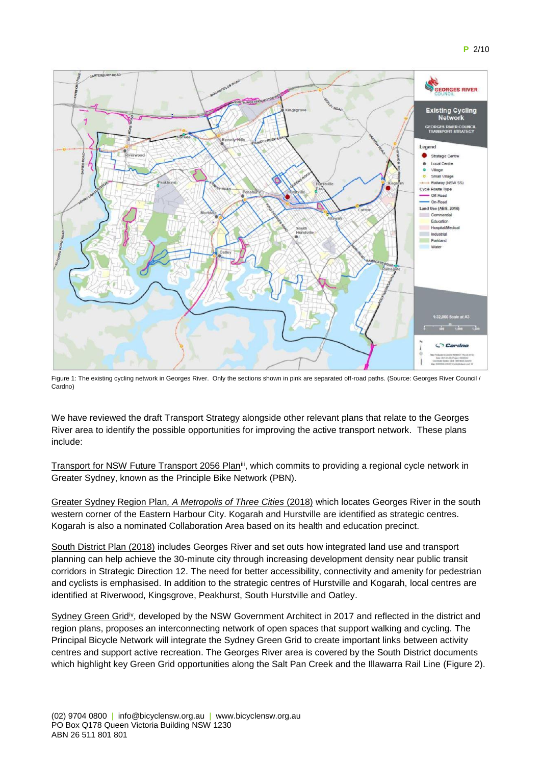

Figure 1: The existing cycling network in Georges River. Only the sections shown in pink are separated off-road paths. (Source: Georges River Council / Cardno)

We have reviewed the draft Transport Strategy alongside other relevant plans that relate to the Georges River area to identify the possible opportunities for improving the active transport network. These plans include:

Transport for NSW Future Transport 2056 Plan<sup>iii</sup>, which commits to providing a regional cycle network in Greater Sydney, known as the Principle Bike Network (PBN).

Greater Sydney Region Plan*, A Metropolis of Three Cities* (2018) which locates Georges River in the south western corner of the Eastern Harbour City. Kogarah and Hurstville are identified as strategic centres. Kogarah is also a nominated Collaboration Area based on its health and education precinct.

South District Plan (2018) includes Georges River and set outs how integrated land use and transport planning can help achieve the 30-minute city through increasing development density near public transit corridors in Strategic Direction 12. The need for better accessibility, connectivity and amenity for pedestrian and cyclists is emphasised. In addition to the strategic centres of Hurstville and Kogarah, local centres are identified at Riverwood, Kingsgrove, Peakhurst, South Hurstville and Oatley.

Sydney Green Grid<sup>iv</sup>, developed by the NSW Government Architect in 2017 and reflected in the district and region plans, proposes an interconnecting network of open spaces that support walking and cycling. The Principal Bicycle Network will integrate the Sydney Green Grid to create important links between activity centres and support active recreation. The Georges River area is covered by the South District documents which highlight key Green Grid opportunities along the Salt Pan Creek and the Illawarra Rail Line (Figure 2).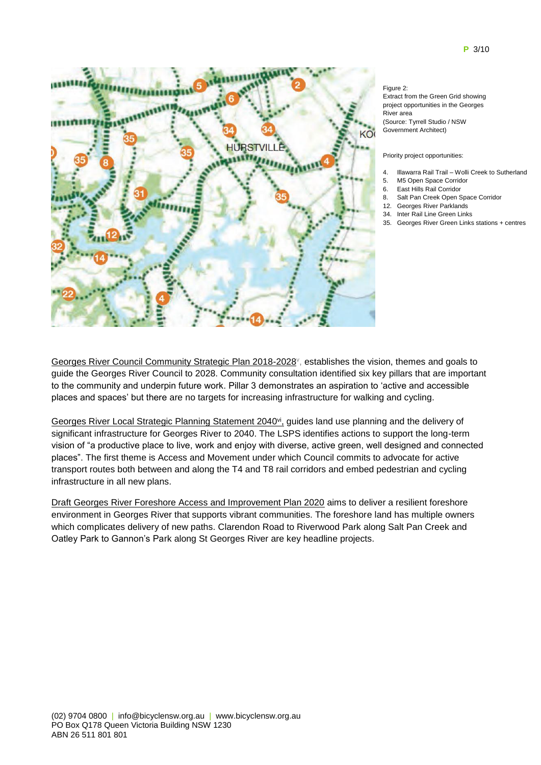

Figure 2: Extract from the Green Grid showing project opportunities in the Georges River area (Source: Tyrrell Studio / NSW Government Architect)

#### Priority project opportunities:

- 4. Illawarra Rail Trail Wolli Creek to Sutherland
- 5. M5 Open Space Corridor
- 6. East Hills Rail Corridor
- 8. Salt Pan Creek Open Space Corridor
- 12. Georges River Parklands
- 34. Inter Rail Line Green Links 35. Georges River Green Links stations + centres
- 

Georges River Council Community Strategic Plan 2018-2028<sup>v</sup>, establishes the vision, themes and goals to guide the Georges River Council to 2028. Community consultation identified six key pillars that are important to the community and underpin future work. Pillar 3 demonstrates an aspiration to 'active and accessible places and spaces' but there are no targets for increasing infrastructure for walking and cycling.

Georges River [Local Strategic Planning Statement 2040](https://yoursay.woollahra.nsw.gov.au/lsps)<sup>vi</sup>, guides land use planning and the delivery of significant infrastructure for Georges River to 2040. The LSPS identifies actions to support the long-term vision of "a productive place to live, work and enjoy with diverse, active green, well designed and connected places". The first theme is Access and Movement under which Council commits to advocate for active transport routes both between and along the T4 and T8 rail corridors and embed pedestrian and cycling infrastructure in all new plans.

Draft Georges River Foreshore Access and Improvement Plan 2020 aims to deliver a resilient foreshore environment in Georges River that supports vibrant communities. The foreshore land has multiple owners which complicates delivery of new paths. Clarendon Road to Riverwood Park along Salt Pan Creek and Oatley Park to Gannon's Park along St Georges River are key headline projects.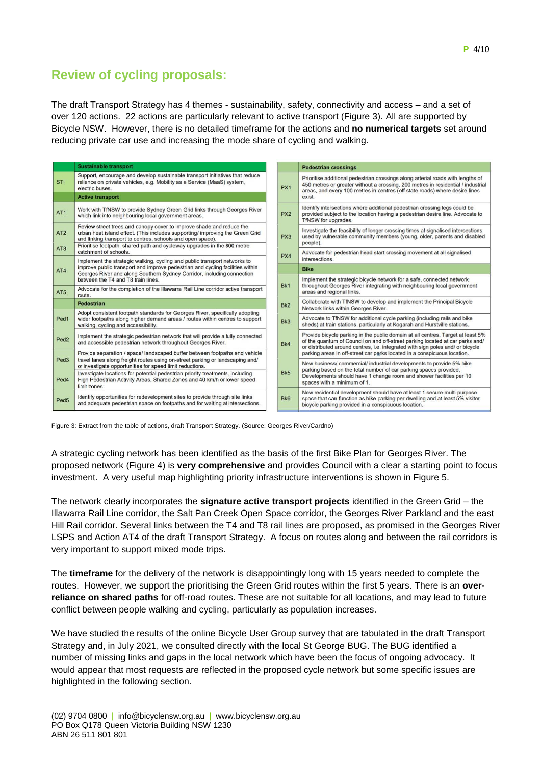# **Review of cycling proposals:**

The draft Transport Strategy has 4 themes - sustainability, safety, connectivity and access – and a set of over 120 actions. 22 actions are particularly relevant to active transport (Figure 3). All are supported by Bicycle NSW. However, there is no detailed timeframe for the actions and **no numerical targets** set around reducing private car use and increasing the mode share of cycling and walking.

|                  | <b>Sustainable transport</b>                                                                                                                                                                                                                                               |                 | <b>Pedestrian crossings</b>                                                                                                                                                                                                                                  |
|------------------|----------------------------------------------------------------------------------------------------------------------------------------------------------------------------------------------------------------------------------------------------------------------------|-----------------|--------------------------------------------------------------------------------------------------------------------------------------------------------------------------------------------------------------------------------------------------------------|
| <b>STI</b>       | Support, encourage and develop sustainable transport initiatives that reduce<br>reliance on private vehicles, e.g. Mobility as a Service (MaaS) system,<br>electric buses.<br><b>Active transport</b>                                                                      | PX <sub>1</sub> | Prioritise additional pedestrian crossings along arterial roads with lengths of<br>450 metres or greater without a crossing, 200 metres in residential / industrial<br>areas, and every 100 metres in centres (off state roads) where desire lines<br>exist. |
|                  |                                                                                                                                                                                                                                                                            |                 |                                                                                                                                                                                                                                                              |
| AT <sub>1</sub>  | Work with TfNSW to provide Sydney Green Grid links through Georges River<br>which link into neighbouring local government areas.                                                                                                                                           | PX <sub>2</sub> | Identify intersections where additional pedestrian crossing legs could be<br>provided subject to the location having a pedestrian desire line. Advocate to<br>TfNSW for upgrades.                                                                            |
| AT2              | Review street trees and canopy cover to improve shade and reduce the<br>urban heat island effect. (This includes supporting/ improving the Green Grid<br>and linking transport to centres, schools and open space).                                                        | PX <sub>3</sub> | Investigate the feasibility of longer crossing times at signalised intersections<br>used by vulnerable community members (young, older, parents and disabled                                                                                                 |
| AT3              | Prioritise footpath, shared path and cycleway upgrades in the 800 metre                                                                                                                                                                                                    |                 | people).                                                                                                                                                                                                                                                     |
|                  | catchment of schools.                                                                                                                                                                                                                                                      | PX4             | Advocate for pedestrian head start crossing movement at all signalised<br>intersections.                                                                                                                                                                     |
| AT4              | Implement the strategic walking, cycling and public transport networks to<br>improve public transport and improve pedestrian and cycling facilities within<br>Georges River and along Southern Sydney Corridor, including connection<br>between the T4 and T8 train lines. |                 |                                                                                                                                                                                                                                                              |
|                  |                                                                                                                                                                                                                                                                            |                 | <b>Bike</b>                                                                                                                                                                                                                                                  |
|                  |                                                                                                                                                                                                                                                                            |                 | Implement the strategic bicycle network for a safe, connected network<br>throughout Georges River integrating with neighbouring local government<br>areas and regional links.                                                                                |
| AT5              | Advocate for the completion of the Illawarra Rail Line corridor active transport<br>route.                                                                                                                                                                                 | Bk1             |                                                                                                                                                                                                                                                              |
|                  | <b>Pedestrian</b>                                                                                                                                                                                                                                                          | Bk <sub>2</sub> | Collaborate with TfNSW to develop and implement the Principal Bicycle<br>Network links within Georges River.                                                                                                                                                 |
| Ped <sub>1</sub> | Adopt consistent footpath standards for Georges River, specifically adopting<br>wider footpaths along higher demand areas / routes within centres to support<br>walking, cycling and accessibility.                                                                        | Bk3             | Advocate to TfNSW for additional cycle parking (including rails and bike<br>sheds) at train stations, particularly at Kogarah and Hurstville stations.                                                                                                       |
| Ped <sub>2</sub> | Implement the strategic pedestrian network that will provide a fully connected<br>and accessible pedestrian network throughout Georges River.                                                                                                                              | Bk4             | Provide bicycle parking in the public domain at all centres. Target at least 5%<br>of the quantum of Council on and off-street parking located at car parks and/<br>or distributed around centres, i.e. integrated with sign poles and/ or bicycle           |
|                  | Provide separation / space/ landscaped buffer between footpaths and vehicle                                                                                                                                                                                                |                 | parking areas in off-street car parks located in a conspicuous location.                                                                                                                                                                                     |
| Ped <sub>3</sub> | travel lanes along freight routes using on-street parking or landscaping and/<br>or investigate opportunities for speed limit reductions.                                                                                                                                  |                 | New business/ commercial/ industrial developments to provide 5% bike<br>parking based on the total number of car parking spaces provided.                                                                                                                    |
| Ped <sub>4</sub> | Investigate locations for potential pedestrian priority treatments, including<br>High Pedestrian Activity Areas, Shared Zones and 40 km/h or lower speed<br>limit zones.                                                                                                   | Bk5             | Developments should have 1 change room and shower facilities per 10<br>spaces with a minimum of 1.                                                                                                                                                           |
| Ped <sub>5</sub> | Identify opportunities for redevelopment sites to provide through site links<br>and adequate pedestrian space on footpaths and for waiting at intersections.                                                                                                               | Bk6             | New residential development should have at least 1 secure multi-purpose<br>space that can function as bike parking per dwelling and at least 5% visitor<br>bicycle parking provided in a conspicuous location.                                               |

Figure 3: Extract from the table of actions, draft Transport Strategy. (Source: Georges River/Cardno)

A strategic cycling network has been identified as the basis of the first Bike Plan for Georges River. The proposed network (Figure 4) is **very comprehensive** and provides Council with a clear a starting point to focus investment. A very useful map highlighting priority infrastructure interventions is shown in Figure 5.

The network clearly incorporates the **signature active transport projects** identified in the Green Grid – the Illawarra Rail Line corridor, the Salt Pan Creek Open Space corridor, the Georges River Parkland and the east Hill Rail corridor. Several links between the T4 and T8 rail lines are proposed, as promised in the Georges River LSPS and Action AT4 of the draft Transport Strategy. A focus on routes along and between the rail corridors is very important to support mixed mode trips.

The **timeframe** for the delivery of the network is disappointingly long with 15 years needed to complete the routes. However, we support the prioritising the Green Grid routes within the first 5 years. There is an **overreliance on shared paths** for off-road routes. These are not suitable for all locations, and may lead to future conflict between people walking and cycling, particularly as population increases.

We have studied the results of the online Bicycle User Group survey that are tabulated in the draft Transport Strategy and, in July 2021, we consulted directly with the local St George BUG. The BUG identified a number of missing links and gaps in the local network which have been the focus of ongoing advocacy. It would appear that most requests are reflected in the proposed cycle network but some specific issues are highlighted in the following section.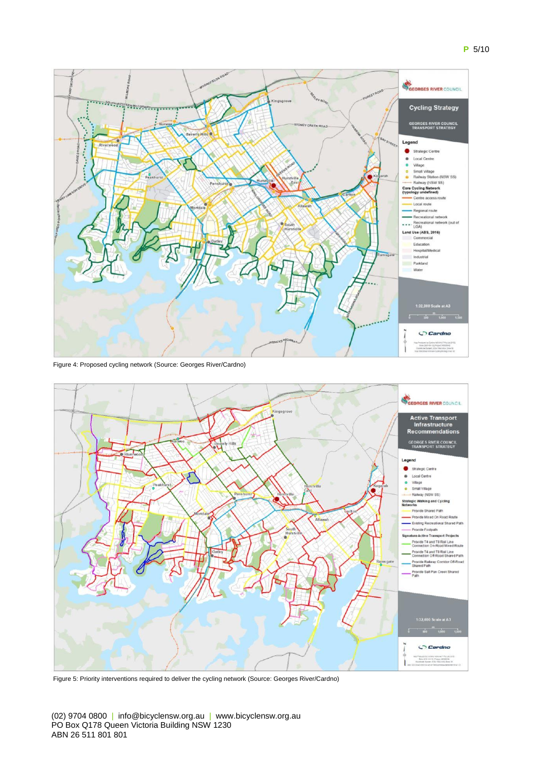



Figure 4: Proposed cycling network (Source: Georges River/Cardno)



Figure 5: Priority interventions required to deliver the cycling network (Source: Georges River/Cardno)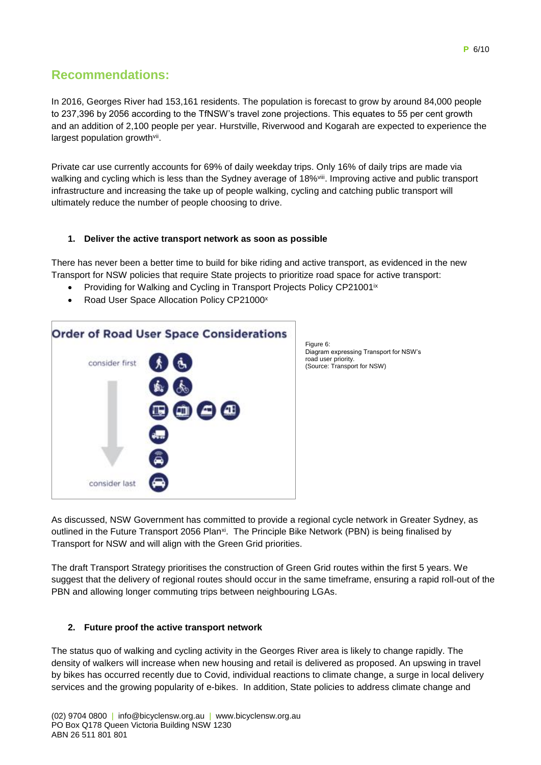## **Recommendations:**

In 2016, Georges River had 153,161 residents. The population is forecast to grow by around 84,000 people to 237,396 by 2056 according to the TfNSW's travel zone projections. This equates to 55 per cent growth and an addition of 2,100 people per year. Hurstville, Riverwood and Kogarah are expected to experience the largest population growth<sup>vii</sup>.

Private car use currently accounts for 69% of daily weekday trips. Only 16% of daily trips are made via walking and cycling which is less than the Sydney average of 18%<sup>viii</sup>. Improving active and public transport infrastructure and increasing the take up of people walking, cycling and catching public transport will ultimately reduce the number of people choosing to drive.

#### **1. Deliver the active transport network as soon as possible**

There has never been a better time to build for bike riding and active transport, as evidenced in the new Transport for NSW policies that require State projects to prioritize road space for active transport:

- Providing for Walking and Cycling in Transport Projects Policy CP21001<sup>ix</sup>
- Road User Space Allocation Policy CP21000<sup>x</sup>



Figure 6: Diagram expressing Transport for NSW's road user priority. (Source: Transport for NSW)

As discussed, NSW Government has committed to provide a regional cycle network in Greater Sydney, as outlined in the Future Transport 2056 Plan<sup>xi</sup>. The Principle Bike Network (PBN) is being finalised by Transport for NSW and will align with the Green Grid priorities.

The draft Transport Strategy prioritises the construction of Green Grid routes within the first 5 years. We suggest that the delivery of regional routes should occur in the same timeframe, ensuring a rapid roll-out of the PBN and allowing longer commuting trips between neighbouring LGAs.

#### **2. Future proof the active transport network**

The status quo of walking and cycling activity in the Georges River area is likely to change rapidly. The density of walkers will increase when new housing and retail is delivered as proposed. An upswing in travel by bikes has occurred recently due to Covid, individual reactions to climate change, a surge in local delivery services and the growing popularity of e-bikes. In addition, State policies to address climate change and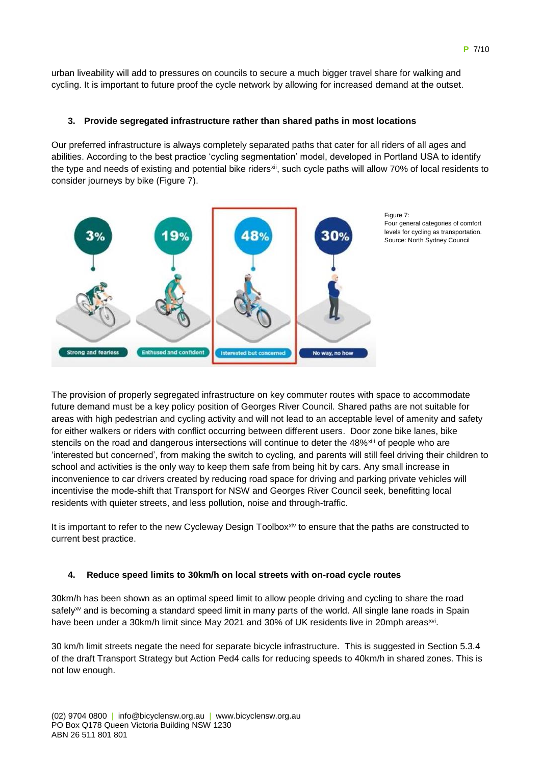urban liveability will add to pressures on councils to secure a much bigger travel share for walking and cycling. It is important to future proof the cycle network by allowing for increased demand at the outset.

#### **3. Provide segregated infrastructure rather than shared paths in most locations**

Our preferred infrastructure is always completely separated paths that cater for all riders of all ages and abilities. According to the best practice 'cycling segmentation' model, developed in Portland USA to identify the type and needs of existing and potential bike riders<sup>xii</sup>, such cycle paths will allow 70% of local residents to consider journeys by bike (Figure 7).



Figure 7: Four general categories of comfort levels for cycling as transportation. Source: North Sydney Council

The provision of properly segregated infrastructure on key commuter routes with space to accommodate future demand must be a key policy position of Georges River Council. Shared paths are not suitable for areas with high pedestrian and cycling activity and will not lead to an acceptable level of amenity and safety for either walkers or riders with conflict occurring between different users. Door zone bike lanes, bike stencils on the road and dangerous intersections will continue to deter the 48%<sup>xiii</sup> of people who are 'interested but concerned', from making the switch to cycling, and parents will still feel driving their children to school and activities is the only way to keep them safe from being hit by cars. Any small increase in inconvenience to car drivers created by reducing road space for driving and parking private vehicles will incentivise the mode-shift that Transport for NSW and Georges River Council seek, benefitting local residents with quieter streets, and less pollution, noise and through-traffic.

It is important to refer to the new Cycleway Design Toolbox $x^{\text{inv}}$  to ensure that the paths are constructed to current best practice.

#### **4. Reduce speed limits to 30km/h on local streets with on-road cycle routes**

30km/h has been shown as an optimal speed limit to allow people driving and cycling to share the road safely<sup>xv</sup> and is becoming a standard speed limit in many parts of the world. All single lane roads in Spain have been under a 30km/h limit since May 2021 and 30% of UK residents live in 20mph areas<sup>xvi</sup>.

30 km/h limit streets negate the need for separate bicycle infrastructure. This is suggested in Section 5.3.4 of the draft Transport Strategy but Action Ped4 calls for reducing speeds to 40km/h in shared zones. This is not low enough.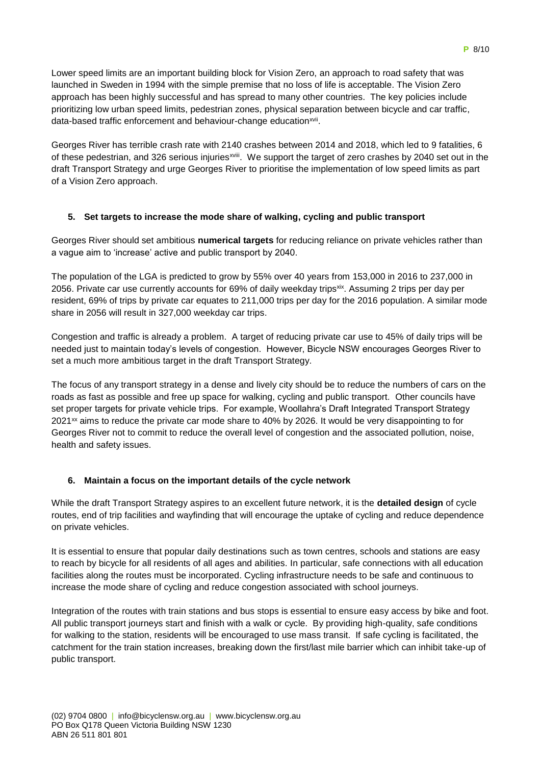Lower speed limits are an important building block for Vision Zero, an approach to road safety that was launched in Sweden in 1994 with the simple premise that no loss of life is acceptable. The Vision Zero approach has been highly successful and has spread to many other countries. The key policies include prioritizing low urban speed limits, pedestrian zones, physical separation between bicycle and car traffic, data-based traffic enforcement and behaviour-change education<sup>xvii</sup>.

Georges River has terrible crash rate with 2140 crashes between 2014 and 2018, which led to 9 fatalities, 6 of these pedestrian, and 326 serious injuries<sup>xviii</sup>. We support the target of zero crashes by 2040 set out in the draft Transport Strategy and urge Georges River to prioritise the implementation of low speed limits as part of a Vision Zero approach.

### **5. Set targets to increase the mode share of walking, cycling and public transport**

Georges River should set ambitious **numerical targets** for reducing reliance on private vehicles rather than a vague aim to 'increase' active and public transport by 2040.

The population of the LGA is predicted to grow by 55% over 40 years from 153,000 in 2016 to 237,000 in 2056. Private car use currently accounts for 69% of daily weekday trips<sup>xix</sup>. Assuming 2 trips per day per resident, 69% of trips by private car equates to 211,000 trips per day for the 2016 population. A similar mode share in 2056 will result in 327,000 weekday car trips.

Congestion and traffic is already a problem. A target of reducing private car use to 45% of daily trips will be needed just to maintain today's levels of congestion. However, Bicycle NSW encourages Georges River to set a much more ambitious target in the draft Transport Strategy.

The focus of any transport strategy in a dense and lively city should be to reduce the numbers of cars on the roads as fast as possible and free up space for walking, cycling and public transport. Other councils have set proper targets for private vehicle trips. For example, Woollahra's Draft Integrated Transport Strategy  $2021<sup>xx</sup>$  aims to reduce the private car mode share to 40% by 2026. It would be very disappointing to for Georges River not to commit to reduce the overall level of congestion and the associated pollution, noise, health and safety issues.

#### **6. Maintain a focus on the important details of the cycle network**

While the draft Transport Strategy aspires to an excellent future network, it is the **detailed design** of cycle routes, end of trip facilities and wayfinding that will encourage the uptake of cycling and reduce dependence on private vehicles.

It is essential to ensure that popular daily destinations such as town centres, schools and stations are easy to reach by bicycle for all residents of all ages and abilities. In particular, safe connections with all education facilities along the routes must be incorporated. Cycling infrastructure needs to be safe and continuous to increase the mode share of cycling and reduce congestion associated with school journeys.

Integration of the routes with train stations and bus stops is essential to ensure easy access by bike and foot. All public transport journeys start and finish with a walk or cycle. By providing high-quality, safe conditions for walking to the station, residents will be encouraged to use mass transit. If safe cycling is facilitated, the catchment for the train station increases, breaking down the first/last mile barrier which can inhibit take-up of public transport.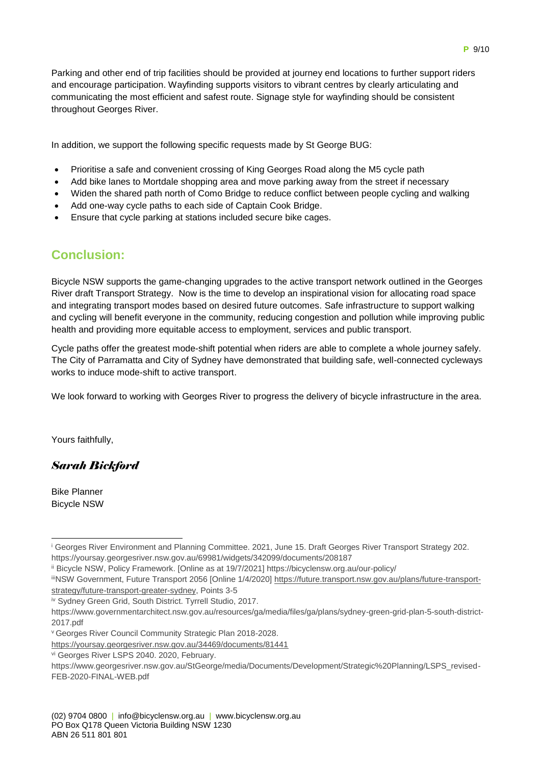Parking and other end of trip facilities should be provided at journey end locations to further support riders and encourage participation. Wayfinding supports visitors to vibrant centres by clearly articulating and communicating the most efficient and safest route. Signage style for wayfinding should be consistent throughout Georges River.

In addition, we support the following specific requests made by St George BUG:

- Prioritise a safe and convenient crossing of King Georges Road along the M5 cycle path
- Add bike lanes to Mortdale shopping area and move parking away from the street if necessary
- Widen the shared path north of Como Bridge to reduce conflict between people cycling and walking
- Add one-way cycle paths to each side of Captain Cook Bridge.
- Ensure that cycle parking at stations included secure bike cages.

# **Conclusion:**

Bicycle NSW supports the game-changing upgrades to the active transport network outlined in the Georges River draft Transport Strategy. Now is the time to develop an inspirational vision for allocating road space and integrating transport modes based on desired future outcomes. Safe infrastructure to support walking and cycling will benefit everyone in the community, reducing congestion and pollution while improving public health and providing more equitable access to employment, services and public transport.

Cycle paths offer the greatest mode-shift potential when riders are able to complete a whole journey safely. The City of Parramatta and City of Sydney have demonstrated that building safe, well-connected cycleways works to induce mode-shift to active transport.

We look forward to working with Georges River to progress the delivery of bicycle infrastructure in the area.

Yours faithfully,

### *Sarah Bickford*

Bike Planner Bicycle NSW

iv Sydney Green Grid, South District. Tyrrell Studio, 2017.

<sup>&</sup>lt;sup>i</sup> Georges River Environment and Planning Committee. 2021, June 15. Draft Georges River Transport Strategy 202. https://yoursay.georgesriver.nsw.gov.au/69981/widgets/342099/documents/208187 1

ii Bicycle NSW, Policy Framework. [Online as at 19/7/2021] https://bicyclensw.org.au/our-policy/

iiiNSW Government, Future Transport 2056 [Online 1/4/2020] [https://future.transport.nsw.gov.au/plans/future-transport](https://future.transport.nsw.gov.au/plans/future-transport-strategy/future-transport-greater-sydney)[strategy/future-transport-greater-sydney,](https://future.transport.nsw.gov.au/plans/future-transport-strategy/future-transport-greater-sydney) Points 3-5

https://www.governmentarchitect.nsw.gov.au/resources/ga/media/files/ga/plans/sydney-green-grid-plan-5-south-district-2017.pdf

<sup>v</sup>Georges River Council Community Strategic Plan 2018-2028.

<https://yoursay.georgesriver.nsw.gov.au/34469/documents/81441>

vi Georges River LSPS 2040. 2020, February.

https://www.georgesriver.nsw.gov.au/StGeorge/media/Documents/Development/Strategic%20Planning/LSPS\_revised-FEB-2020-FINAL-WEB.pdf